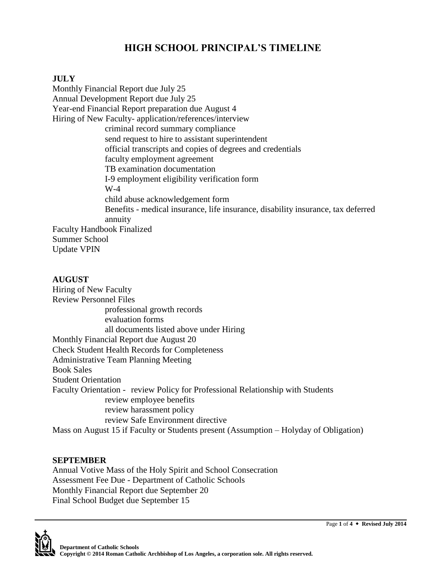# **HIGH SCHOOL PRINCIPAL'S TIMELINE**

# **JULY**

Monthly Financial Report due July 25 Annual Development Report due July 25 Year-end Financial Report preparation due August 4 Hiring of New Faculty- application/references/interview criminal record summary compliance send request to hire to assistant superintendent official transcripts and copies of degrees and credentials faculty employment agreement TB examination documentation I-9 employment eligibility verification form W-4 child abuse acknowledgement form Benefits - medical insurance, life insurance, disability insurance, tax deferred annuity Faculty Handbook Finalized Summer School Update VPIN

**AUGUST** Hiring of New Faculty Review Personnel Files professional growth records evaluation forms all documents listed above under Hiring Monthly Financial Report due August 20 Check Student Health Records for Completeness Administrative Team Planning Meeting Book Sales Student Orientation Faculty Orientation - review Policy for Professional Relationship with Students review employee benefits review harassment policy review Safe Environment directive Mass on August 15 if Faculty or Students present (Assumption – Holyday of Obligation)

# **SEPTEMBER**

Annual Votive Mass of the Holy Spirit and School Consecration Assessment Fee Due - Department of Catholic Schools Monthly Financial Report due September 20 Final School Budget due September 15

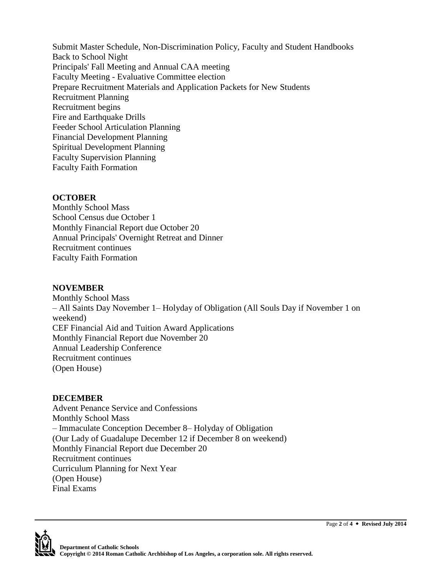Submit Master Schedule, Non-Discrimination Policy, Faculty and Student Handbooks Back to School Night Principals' Fall Meeting and Annual CAA meeting Faculty Meeting - Evaluative Committee election Prepare Recruitment Materials and Application Packets for New Students Recruitment Planning Recruitment begins Fire and Earthquake Drills Feeder School Articulation Planning Financial Development Planning Spiritual Development Planning Faculty Supervision Planning Faculty Faith Formation

### **OCTOBER**

Monthly School Mass School Census due October 1 Monthly Financial Report due October 20 Annual Principals' Overnight Retreat and Dinner Recruitment continues Faculty Faith Formation

# **NOVEMBER**

Monthly School Mass – All Saints Day November 1– Holyday of Obligation (All Souls Day if November 1 on weekend) CEF Financial Aid and Tuition Award Applications Monthly Financial Report due November 20 Annual Leadership Conference Recruitment continues (Open House)

#### **DECEMBER**

Advent Penance Service and Confessions Monthly School Mass – Immaculate Conception December 8– Holyday of Obligation (Our Lady of Guadalupe December 12 if December 8 on weekend) Monthly Financial Report due December 20 Recruitment continues Curriculum Planning for Next Year (Open House) Final Exams



Page **2** of **4 Revised July 2014**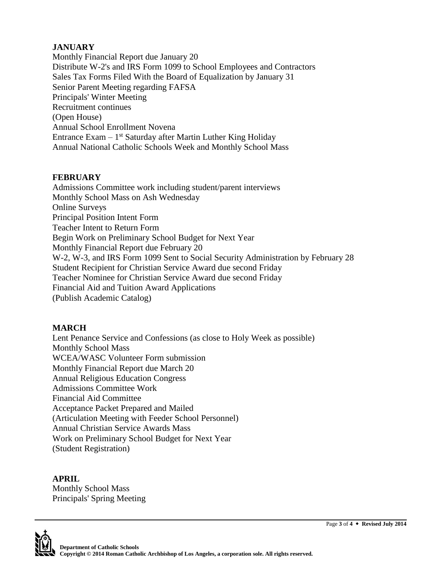# **JANUARY**

Monthly Financial Report due January 20 Distribute W-2's and IRS Form 1099 to School Employees and Contractors Sales Tax Forms Filed With the Board of Equalization by January 31 Senior Parent Meeting regarding FAFSA Principals' Winter Meeting Recruitment continues (Open House) Annual School Enrollment Novena Entrance Exam  $-1$ <sup>st</sup> Saturday after Martin Luther King Holiday Annual National Catholic Schools Week and Monthly School Mass

# **FEBRUARY**

Admissions Committee work including student/parent interviews Monthly School Mass on Ash Wednesday Online Surveys Principal Position Intent Form Teacher Intent to Return Form Begin Work on Preliminary School Budget for Next Year Monthly Financial Report due February 20 W-2, W-3, and IRS Form 1099 Sent to Social Security Administration by February 28 Student Recipient for Christian Service Award due second Friday Teacher Nominee for Christian Service Award due second Friday Financial Aid and Tuition Award Applications (Publish Academic Catalog)

# **MARCH**

Lent Penance Service and Confessions (as close to Holy Week as possible) Monthly School Mass WCEA/WASC Volunteer Form submission Monthly Financial Report due March 20 Annual Religious Education Congress Admissions Committee Work Financial Aid Committee Acceptance Packet Prepared and Mailed (Articulation Meeting with Feeder School Personnel) Annual Christian Service Awards Mass Work on Preliminary School Budget for Next Year (Student Registration)

**APRIL** Monthly School Mass Principals' Spring Meeting



Page **3** of **4 Revised July 2014**